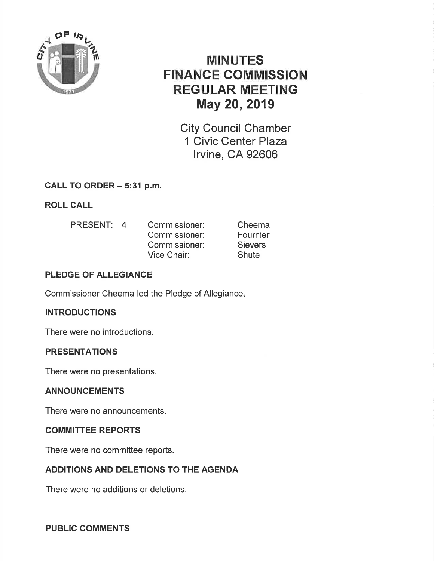

# MINUTES FINANCE COMMISSION REGULAR MEETING May 20,2019

City Council Chamber 1 Civic Center Plaza lrvine, CA 92606

# CALL TO ORDER - 5:31 p.m.

ROLL CALL

PRESENT: 4 Commissioner: Commissioner: Commissioner: Vice Chair: Cheema Fournier **Sievers Shute** 

# PLEDGE OF ALLEGIANCE

Commissioner Cheema led the Pledge of Allegiance

# **INTRODUCTIONS**

There were no introductions.

# PRESENTATIONS

There were no presentations.

# ANNOUNCEMENTS

There were no announcements.

# COMMITTEE REPORTS

There were no committee reports.

# ADDITIONS AND DELETIONS TO THE AGENDA

There were no additions or deletions.

# PUBLIC COMMENTS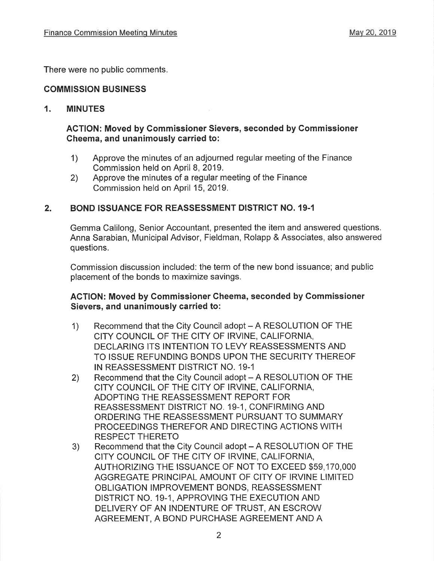There were no public comments.

#### COMMISSION BUSINESS

#### 1. MINUTES

#### ACTION: Moved by Gommissioner Sievers, seconded by Commissioner Cheema, and unanimously carried to:

- 1) Approve the minutes of an adjourned regular meeting of the Finance Commission held on April 8, 2019.
- 2) Approve the minutes of a regular meeting of the Finance Commission held on April 15,2019.

## 2. BOND ISSUANCE FOR REASSESSMENT DISTRICT NO. 19.1

Gemma Calilong, Senior Accountant, presented the item and answered questions. Anna Sarabian, Municipal Advisor, Fieldman, Rolapp & Associates, also answered questions.

Commission discussion included: the term of the new bond issuance; and public placement of the bonds to maximize savings.

#### ACTION: Moved by Gommissioner Cheema, seconded by Commissioner Sievers, and unanimously carried to:

- 1) Recommend that the City Council adopt A RESOLUTION OF THE CITY COUNCIL OF THE CITY OF IRVINE, CALIFORNIA, DECLARING ITS INTENTION TO LEVY REASSESSMENTS AND TO ISSUE REFUNDING BONDS UPON THE SECURITY THEREOF IN REASSESSMENT DISTRICT NO. 19-1
- 2) Recommend that the City Council adopt A RESOLUTION OF THE CITY COUNCIL OF THE CITY OF IRVINE, CALIFORNIA, ADOPTING THE REASSESSMENT REPORT FOR REASSESSMENT DISTRICT NO, 19-1, CONFIRMING AND ORDERING THE REASSESSMENT PURSUANT TO SUMMARY PROCEEDINGS THEREFOR AND DIRECTING ACTIONS WITH RESPECT THERETO<br>3) Recommend that the City Council adopt – A RESOLUTION OF THE
- CITY COUNCIL OF THE CITY OF IRVINE, CALIFORNIA, AUTHORIZING THE ISSUANCE OF NOT TO EXCEED \$59,170,000 AGGREGATE PRINCIPAL AMOUNT OF CITY OF IRVINE LIMITED OBLIGATION IMPROVEMENT BONDS, REASSESSMENT DISTRICT NO. 19-1, APPROVING THE EXECUTION AND DELIVERY OF AN INDENTURE OF TRUST, AN ESCROW AGREEMENT, A BOND PURCHASE AGREEMENT AND A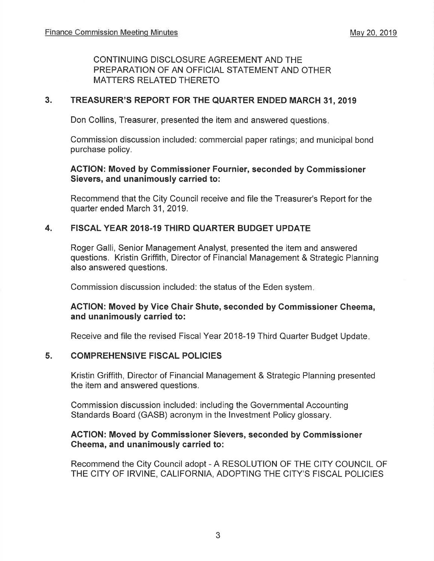## CONTINUING DISCLOSURE AGREEMENT AND THE PREPARATION OF AN OFFICIAL STATEMENT AND OTHER MATTERS RELATED THERETO

## 3. TREASURER'S REPORT FOR THE QUARTER ENDED MARCH 31,2019

Don Collins, Treasurer, presented the item and answered questions

Commission discussion included: commercial paper ratings; and municipal bond purchase policy.

## AGTION: Moved by Commissioner Fournier, seconded by Gommissioner Sievers, and unanimously carried to:

Recommend that the City Council receive and file the Treasurer's Report for the quarter ended March 31,2019.

## 4. FISCAL YEAR 2018.19 THIRD QUARTER BUDGET UPDATE

Roger Galli, Senior Management Analyst, presented the item and answered questions. Kristin Griffith, Director of Financial Management & Strategic Planning also answered questions.

Commission discussion included: the status of the Eden system

## ACTION: Moved by Vice Chair Shute, seconded by Commissioner Cheema, and unanimously carried to:

Receive and file the revised Fiscal Year 2018-19 Third Quarter Budget Update

## 5. COMPREHENSIVE FISCAL POLICIES

Kristin Griffith, Director of Financial Management & Strategic Planning presented the item and answered questions.

Commission discussion included: including the Governmental Accounting Standards Board (GASB) acronym in the lnvestment Policy glossary.

## AGTION: Moved by Gommissioner Sievers, seconded by Gommissioner Cheema, and unanimously carried to:

Recommend the City Council adopt - A RESOLUTION OF THE CITY COUNCIL OF THE CITY OF IRVINE, CALIFORNIA, ADOPTING THE CITY'S FISCAL POLICIES